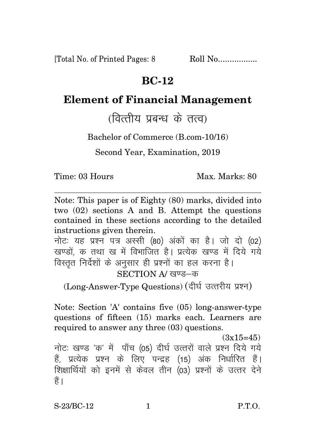[Total No. of Printed Pages: 8 Roll No.................

## **BC-12**

## **Element of Financial Management**

(वित्तीय प्रबन्ध के तत्व)

Bachelor of Commerce (B.com-10/16)

Second Year, Examination, 2019

Time: 03 Hours Max. Marks: 80

Note: This paper is of Eighty (80) marks, divided into two (02) sections A and B. Attempt the questions contained in these sections according to the detailed instructions given therein.

नोट: यह प्रश्न पत्र अस्सी (80) अंकों का है। जो दो (02) खण्डों क तथा ख में विभाजित है। प्रत्येक खण्ड में दिये गये विस्तत निर्देशों के अनुसार ही प्रश्नों का हल करना है। SECTION A/ खण्ड-क

(Long-Answer-Type Questions) (दीर्घ उत्तरीय प्रश्न)

Note: Section 'A' contains five (05) long-answer-type questions of fifteen (15) marks each. Learners are required to answer any three (03) questions.

 $(3x15=45)$ 

नोटः खण्ड 'क' में पाँच (05) दीर्घ उत्तरों वाले प्रश्न दिये गये हैं, प्रत्येक प्रश्न के लिए पन्द्रह (15) अंक निर्धारित हैं। शिक्षार्थियों को इनमें से केवल तीन (03) प्रश्नों के उत्तर देने हैं ।

S-23/BC-12 1 P.T.O.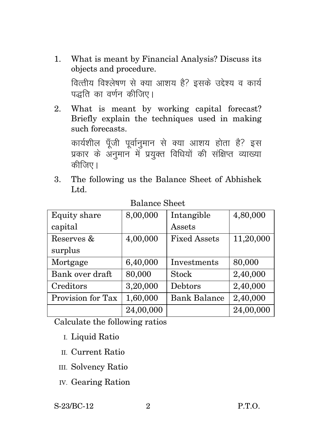- 1. What is meant by Financial Analysis? Discuss its objects and procedure. वित्तीय विश्लेषण से क्या आशय है? इसके उद्देश्य व कार्य पद्धति का वर्णन कीजिए।
- 2. What is meant by working capital forecast? Briefly explain the techniques used in making such forecasts.

कार्यशील पँजी पर्वानमान से क्या आशय होता है? इस प्रकार के अनुमान में प्रयुक्त विधियों की संक्षिप्त व्याख्या कीजिए।

3. The following us the Balance Sheet of Abhishek Ltd.

| Equity share      | 8,00,000  | Intangible          | 4,80,000  |
|-------------------|-----------|---------------------|-----------|
| capital           |           | Assets              |           |
| Reserves &        | 4,00,000  | <b>Fixed Assets</b> | 11,20,000 |
| surplus           |           |                     |           |
| Mortgage          | 6,40,000  | Investments         | 80,000    |
| Bank over draft   | 80,000    | <b>Stock</b>        | 2,40,000  |
| Creditors         | 3,20,000  | Debtors             | 2,40,000  |
| Provision for Tax | 1,60,000  | <b>Bank Balance</b> | 2,40,000  |
|                   | 24,00,000 |                     | 24,00,000 |

#### Balance Sheet

Calculate the following ratios

- I. Liquid Ratio
- II. Current Ratio
- III. Solvency Ratio
- IV. Gearing Ration

#### S-23/BC-12 2 P.T.O.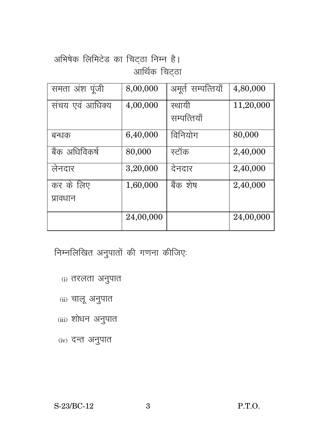# अभिषेक लिमिटेड का चिट्ठा निम्न है। आर्थिक चिट्ठा

| समता अंश पूंजी  | 8,00,000  | अमूर्त सम्पत्तियाँ | 4,80,000  |
|-----------------|-----------|--------------------|-----------|
| संचय एवं आधिक्य | 4,00,000  | स्थायी             | 11,20,000 |
|                 |           | सम्पत्तियाँ        |           |
| बन्धक           | 6,40,000  | विनियोग            | 80,000    |
| बैंक अधिविकर्ष  | 80,000    | स्टॉक              | 2,40,000  |
| लेनदार          | 3,20,000  | देनदार             | 2,40,000  |
| कर के लिए       | 1,60,000  | बैंक शेष           | 2,40,000  |
| प्रावधान        |           |                    |           |
|                 | 24,00,000 |                    | 24,00,000 |

निम्नलिखित अनुपातों की गणना कीजिएः

- (i) तरलता अनुपात
- (ii) चालू अनुपात
- (iii) शोधन अनुपात
- (iv) दन्त अनुपात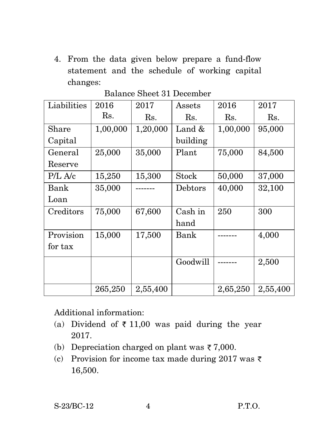4. From the data given below prepare a fund-flow statement and the schedule of working capital changes:

| Liabilities | 2016     | 2017     | Assets       | 2016     | 2017     |
|-------------|----------|----------|--------------|----------|----------|
|             | Rs.      | Rs.      | Rs.          | Rs.      | Rs.      |
| Share       | 1,00,000 | 1,20,000 | Land $&$     | 1,00,000 | 95,000   |
| Capital     |          |          | building     |          |          |
| General     | 25,000   | 35,000   | Plant        | 75,000   | 84,500   |
| Reserve     |          |          |              |          |          |
| $P/L$ A/c   | 15,250   | 15,300   | <b>Stock</b> | 50,000   | 37,000   |
| Bank        | 35,000   |          | Debtors      | 40,000   | 32,100   |
| Loan        |          |          |              |          |          |
| Creditors   | 75,000   | 67,600   | Cash in      | 250      | 300      |
|             |          |          | hand         |          |          |
| Provision   | 15,000   | 17,500   | Bank         |          | 4,000    |
| for tax     |          |          |              |          |          |
|             |          |          | Goodwill     |          | 2,500    |
|             |          |          |              |          |          |
|             | 265,250  | 2,55,400 |              | 2,65,250 | 2,55,400 |

### Balance Sheet 31 December

Additional information:

- (a) Dividend of  $\bar{\tau}$  11,00 was paid during the year 2017.
- (b) Depreciation charged on plant was  $\overline{\zeta}$  7,000.
- (c) Provision for income tax made during 2017 was  $\bar{\tau}$ 16,500.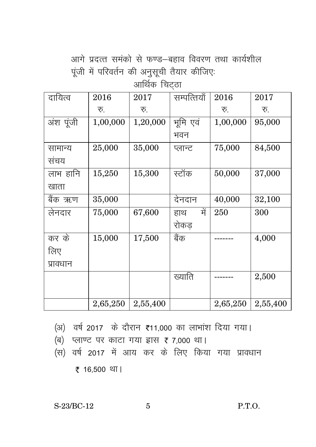आगे प्रदत्त समंको से फण्ड–बहाव विवरण तथा कार्यशील पूंजी में परिवर्तन की अनुसूची तैयार कीजिए:

आर्थिक चिट्ठा

| दायित्व   | 2016     | 2017     | सम्पत्तियाँ | 2016     | 2017     |
|-----------|----------|----------|-------------|----------|----------|
|           | रू.      | रू.      |             | रू.      | रू.      |
| अंश पूंजी | 1,00,000 | 1,20,000 | भूमि एवं    | 1,00,000 | 95,000   |
|           |          |          | भवन         |          |          |
| सामान्य   | 25,000   | 35,000   | प्लान्ट     | 75,000   | 84,500   |
| संचय      |          |          |             |          |          |
| लाभ हानि  | 15,250   | 15,300   | स्टॉक       | 50,000   | 37,000   |
| खाता      |          |          |             |          |          |
| बैंक ऋण   | 35,000   |          | देनदान      | 40,000   | 32,100   |
| लेनदार    | 75,000   | 67,600   | में<br>हाथ  | 250      | 300      |
|           |          |          | रोकड        |          |          |
| कर के     | 15,000   | 17,500   | बैंक        |          | 4,000    |
| लिए       |          |          |             |          |          |
| प्रावधान  |          |          |             |          |          |
|           |          |          | ख्याति      |          | 2,500    |
|           |          |          |             |          |          |
|           | 2,65,250 | 2,55,400 |             | 2,65,250 | 2,55,400 |

(अ) वर्ष 2017 के दौरान ₹11,000 का लाभांश दिया गया।

- $(d)$  प्लाण्ट पर काटा गया ह्रास ह 7,000 था।
- (स) वर्ष 2017 में आय कर के लिए किया गया प्रावधान

₹ 16,500 था।

S-23/BC-12 5 P.T.O.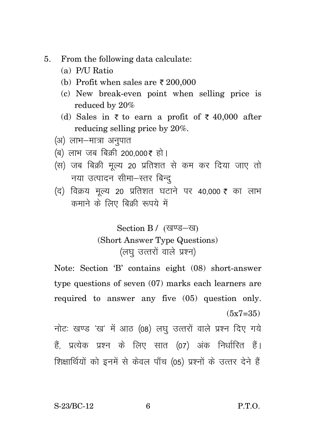- $5<sub>1</sub>$ From the following data calculate:
	- (a) P/U Ratio
	- (b) Profit when sales are  $\bar{\tau}$  200,000
	- (c) New break-even point when selling price is reduced by 20%
	- (d) Sales in  $\overline{\xi}$  to earn a profit of  $\overline{\xi}$  40.000 after reducing selling price by 20%.
	- (अ) लाभ-मात्रा अनुपात
	- (ब) लाभ जब बिक्री 200.000₹ हो।
	- (स) जब बिक्री मल्य 20 प्रतिशत से कम कर दिया जाए तो नया उत्पादन सीमा-स्तर बिन्द
	- (द) विक्रय मूल्य 20 प्रतिशत घटाने पर 40,000 ₹ का लाभ कमाने के लिए बिक्री रूपये में

Section B / (खण्ड-ख)

### (Short Answer Type Questions) (लघ उत्तरों वाले प्रश्न)

Note: Section 'B' contains eight (08) short-answer type questions of seven  $(07)$  marks each learners are required to answer any five (05) question only.  $(5x7=35)$ 

नोटः खण्ड 'ख' में आठ (08) लघु उत्तरों वाले प्रश्न दिए गये हैं, प्रत्येक प्रश्न के लिए सात (07) अंक निर्धारित हैं। शिक्षार्थियों को इनमें से केवल पाँच (05) प्रश्नों के उत्तर देने हैं

S-23/BC-12

6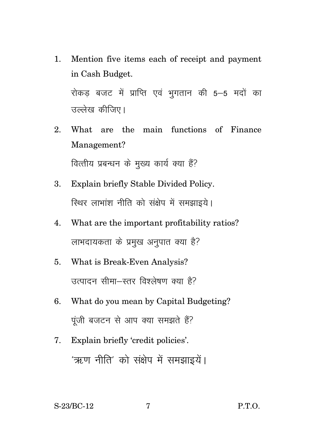1. Mention five items each of receipt and payment in Cash Budget.

रोकड बजट में प्राप्ति एवं भुगतान की 5–5 मदों का उल्लेख कीजिए।

- 2. What are the main functions of Finance Management? वित्तीय प्रबन्धन के मुख्य कार्य क्या हैं?
- 3. Explain briefly Stable Divided Policy. स्थिर लाभांश नीति को संक्षेप में समझाइये।
- 4. What are the important profitability ratios? लाभदायकता के प्रमुख अनुपात क्या है?
- 5. What is Break-Even Analysis? उत्पादन सीमा-स्तर विश्लेषण क्या है?
- 6. What do you mean by Capital Budgeting? पंजी बजटन से आप क्या समझते हैं?
- 7. Explain briefly 'credit policies'. 'ऋण नीति' को संक्षेप में समझाइयें।

S-23/BC-12 7 P.T.O.